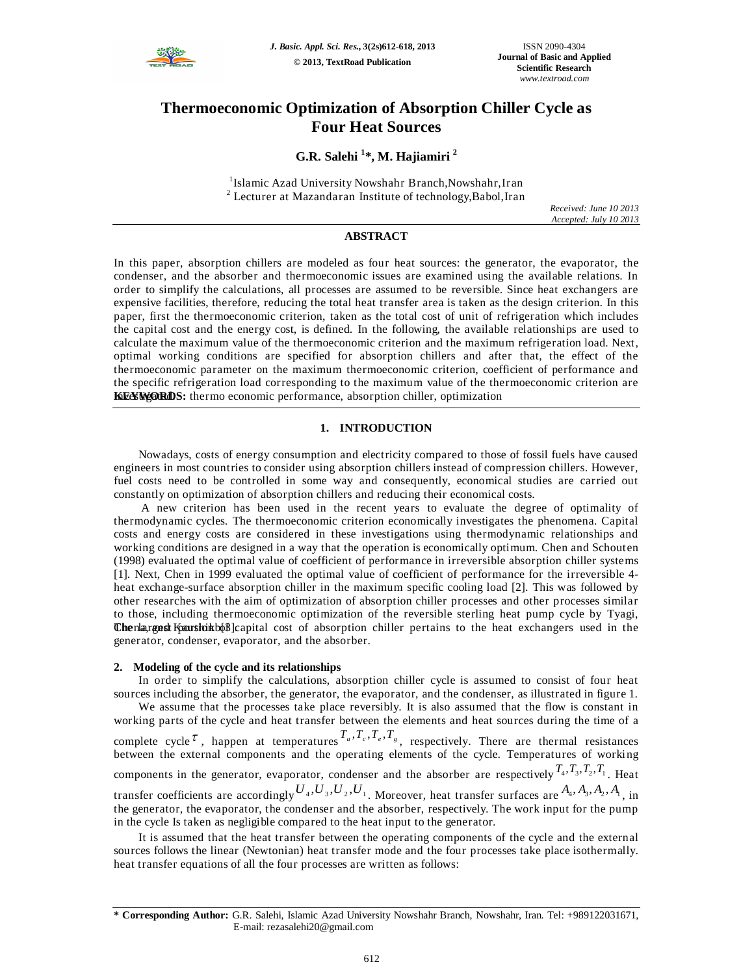

# **Thermoeconomic Optimization of Absorption Chiller Cycle as Four Heat Sources**

# **G.R. Salehi <sup>1</sup> \*, M. Hajiamiri <sup>2</sup>**

1 Islamic Azad University Nowshahr Branch,Nowshahr,Iran <sup>2</sup> Lecturer at Mazandaran Institute of technology,Babol,Iran

*Received: June 10 2013 Accepted: July 10 2013*

## **ABSTRACT**

In this paper, absorption chillers are modeled as four heat sources: the generator, the evaporator, the condenser, and the absorber and thermoeconomic issues are examined using the available relations. In order to simplify the calculations, all processes are assumed to be reversible. Since heat exchangers are expensive facilities, therefore, reducing the total heat transfer area is taken as the design criterion. In this paper, first the thermoeconomic criterion, taken as the total cost of unit of refrigeration which includes the capital cost and the energy cost, is defined. In the following, the available relationships are used to calculate the maximum value of the thermoeconomic criterion and the maximum refrigeration load. Next, optimal working conditions are specified for absorption chillers and after that, the effect of the thermoeconomic parameter on the maximum thermoeconomic criterion, coefficient of performance and the specific refrigeration load corresponding to the maximum value of the thermoeconomic criterion are **KEYWORDS:** thermo economic performance, absorption chiller, optimization

#### **1. INTRODUCTION**

Nowadays, costs of energy consumption and electricity compared to those of fossil fuels have caused engineers in most countries to consider using absorption chillers instead of compression chillers. However, fuel costs need to be controlled in some way and consequently, economical studies are carried out constantly on optimization of absorption chillers and reducing their economical costs.

A new criterion has been used in the recent years to evaluate the degree of optimality of thermodynamic cycles. The thermoeconomic criterion economically investigates the phenomena. Capital costs and energy costs are considered in these investigations using thermodynamic relationships and working conditions are designed in a way that the operation is economically optimum. Chen and Schouten (1998) evaluated the optimal value of coefficient of performance in irreversible absorption chiller systems [1]. Next, Chen in 1999 evaluated the optimal value of coefficient of performance for the irreversible 4 heat exchange-surface absorption chiller in the maximum specific cooling load [2]. This was followed by other researches with the aim of optimization of absorption chiller processes and other processes similar to those, including thermoeconomic optimization of the reversible sterling heat pump cycle by Tyagi, **Chenlargest Kaushikb** b<sup>3</sup>] capital cost of absorption chiller pertains to the heat exchangers used in the generator, condenser, evaporator, and the absorber.

#### **2. Modeling of the cycle and its relationships**

In order to simplify the calculations, absorption chiller cycle is assumed to consist of four heat sources including the absorber, the generator, the evaporator, and the condenser, as illustrated in figure 1. We assume that the processes take place reversibly. It is also assumed that the flow is constant in working parts of the cycle and heat transfer between the elements and heat sources during the time of a complete cycle  $\tau$ , happen at temperatures  $T_a, T_c, T_e, T_g$ , respectively. There are thermal resistances between the external components and the operating elements of the cycle. Temperatures of working components in the generator, evaporator, condenser and the absorber are respectively  $T_4$ ,  $T_3$ ,  $T_2$ ,  $T_1$ . Heat transfer coefficients are accordingly  $U_4, U_3, U_2, U_1$ . Moreover, heat transfer surfaces are  $A_4, A_3, A_2, A_1$ , in the generator, the evaporator, the condenser and the absorber, respectively. The work input for the pump in the cycle Is taken as negligible compared to the heat input to the generator.

It is assumed that the heat transfer between the operating components of the cycle and the external sources follows the linear (Newtonian) heat transfer mode and the four processes take place isothermally. heat transfer equations of all the four processes are written as follows:

**<sup>\*</sup> Corresponding Author:** G.R. Salehi, Islamic Azad University Nowshahr Branch, Nowshahr, Iran. Tel: +989122031671, E-mail: rezasalehi20@gmail.com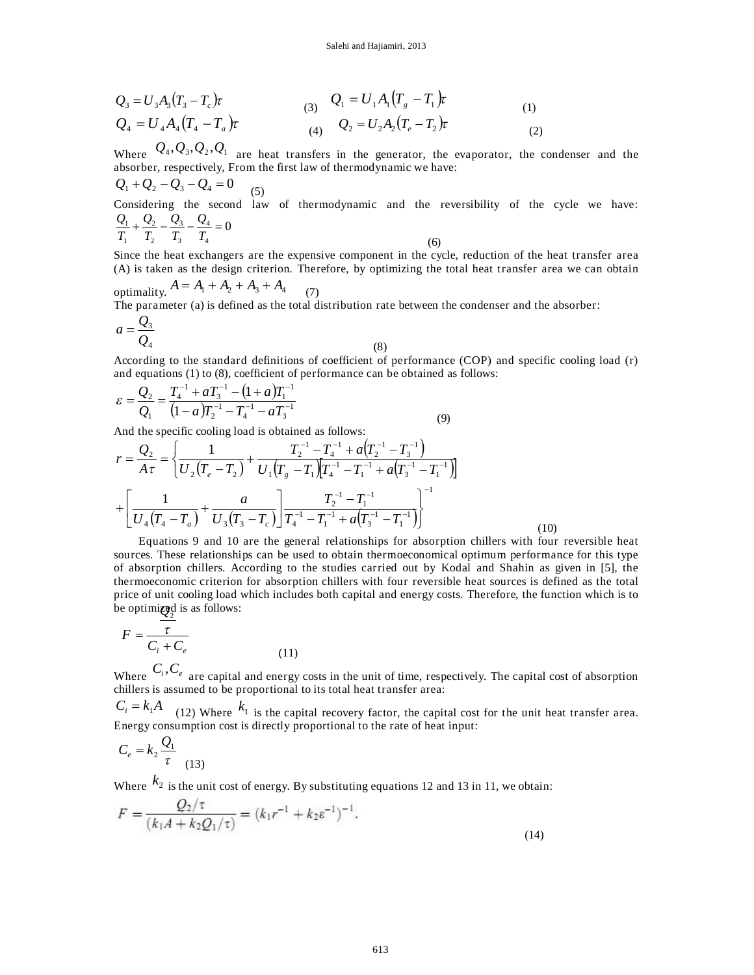$$
Q_3 = U_3 A_3 (T_3 - T_c) \tau
$$
  
\n
$$
Q_4 = U_4 A_4 (T_4 - T_a) \tau
$$
  
\n(3)  $Q_1 = U_1 A_1 (T_g - T_1) \tau$   
\n(4)  $Q_2 = U_2 A_2 (T_e - T_2) \tau$   
\n(5)  $(1)$ 

Where  $Q_4, Q_3, Q_2, Q_1$  are heat transfers in the generator, the evaporator, the condenser and the absorber, respectively, From the first law of thermodynamic we have:

$$
Q_1 + Q_2 - Q_3 - Q_4 = 0
$$
\nConsidering the second law of thermodynamic and the reversibility of the cycle we have:

\n
$$
\frac{Q_1}{T_1} + \frac{Q_2}{T_2} - \frac{Q_3}{T_3} - \frac{Q_4}{T_4} = 0
$$
\n(6)

Since the heat exchangers are the expensive component in the cycle, reduction of the heat transfer area (A) is taken as the design criterion. Therefore, by optimizing the total heat transfer area we can obtain

optimality.  $A = A_1 + A_2 + A_3 + A_4$ (7)

The parameter (a) is defined as the total distribution rate between the condenser and the absorber:

$$
a = \frac{Q_3}{Q_4} \tag{8}
$$

According to the standard definitions of coefficient of performance (COP) and specific cooling load (r) and equations (1) to (8), coefficient of performance can be obtained as follows:

$$
\varepsilon = \frac{Q_2}{Q_1} = \frac{T_4^{-1} + aT_3^{-1} - (1+a)T_1^{-1}}{(1-a)T_2^{-1} - T_4^{-1} - aT_3^{-1}}
$$
\n(9)

And the specific cooling load is obtained as follows:

$$
r = \frac{Q_2}{A\tau} = \left\{ \frac{1}{U_2(T_e - T_2)} + \frac{T_2^{-1} - T_4^{-1} + a(T_2^{-1} - T_3^{-1})}{U_1(T_g - T_1)[T_4^{-1} - T_1^{-1} + a(T_3^{-1} - T_1^{-1})]} \right\}
$$

$$
+ \left[ \frac{1}{U_4(T_4 - T_a)} + \frac{a}{U_3(T_3 - T_c)} \right] \frac{T_2^{-1} - T_1^{-1}}{T_4^{-1} - T_1^{-1} + a(T_3^{-1} - T_1^{-1})} \right\}^{-1}
$$

Equations 9 and 10 are the general relationships for absorption chillers with four reversible heat sources. These relationships can be used to obtain thermoeconomical optimum performance for this type of absorption chillers. According to the studies carried out by Kodal and Shahin as given in [5], the thermoeconomic criterion for absorption chillers with four reversible heat sources is defined as the total price of unit cooling load which includes both capital and energy costs. Therefore, the function which is to be optimi**zed** is as follows:

(10)

$$
F = \frac{\tau}{C_i + C_e} \tag{11}
$$

Where  $C_i$ ,  $C_e$  are capital and energy costs in the unit of time, respectively. The capital cost of absorption chillers is assumed to be proportional to its total heat transfer area:

 $C_i = k_1 A$  (12) Where  $k_1$  is the capital recovery factor, the capital cost for the unit heat transfer area. Energy consumption cost is directly proportional to the rate of heat input:

$$
C_e = k_2 \frac{Q_1}{\tau}
$$
 (13)

Where  $k_2$  is the unit cost of energy. By substituting equations 12 and 13 in 11, we obtain:

$$
F = \frac{Q_2/\tau}{(k_1A + k_2Q_1/\tau)} = (k_1r^{-1} + k_2\varepsilon^{-1})^{-1}.
$$
\n(14)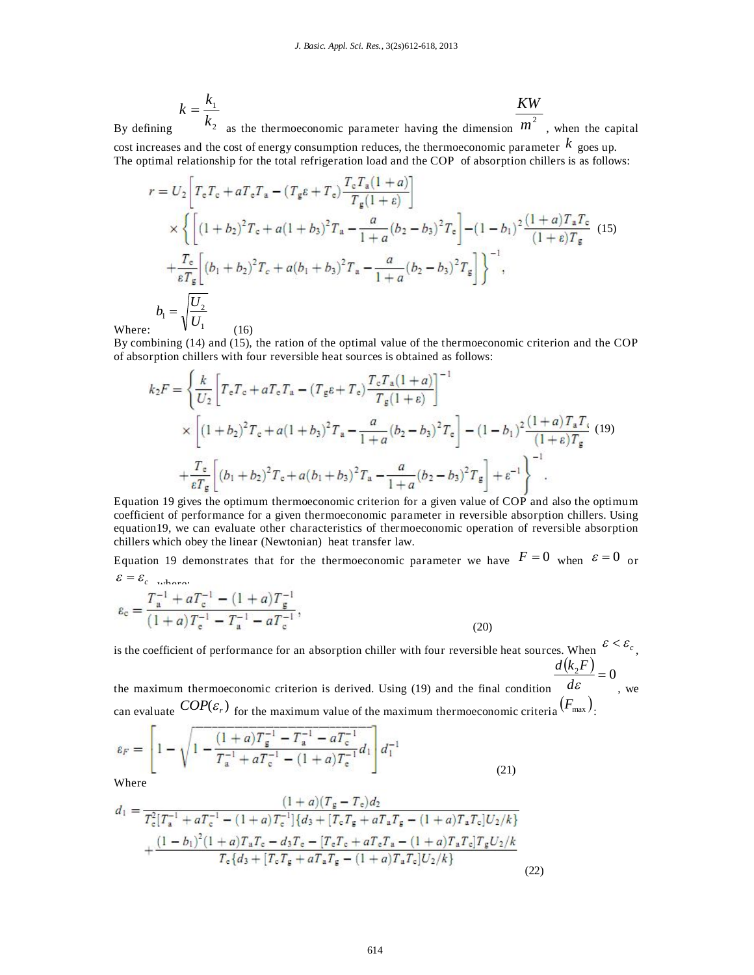$$
k = \frac{k_1}{k_2}
$$
 as the thermoeconomic parameter having the dimension  $\frac{KW}{m^2}$ , when the capital

By defining cost increases and the cost of energy consumption reduces, the thermoeconomic parameter *k* goes up. The optimal relationship for the total refrigeration load and the COP of absorption chillers is as follows:

$$
r = U_2 \left[ T_e T_e + a T_e T_a - (T_g e + T_e) \frac{T_e T_a (1+a)}{T_g (1+\epsilon)} \right]
$$
  
\n
$$
\times \left\{ \left[ (1+b_2)^2 T_e + a (1+b_3)^2 T_a - \frac{a}{1+a} (b_2 - b_3)^2 T_e \right] - (1-b_1)^2 \frac{(1+a)T_a T_e}{(1+\epsilon)T_g} (15) + \frac{T_e}{\epsilon T_g} \left[ (b_1 + b_2)^2 T_e + a (b_1 + b_3)^2 T_a - \frac{a}{1+a} (b_2 - b_3)^2 T_g \right] \right\}^{-1},
$$
  
\n
$$
b_1 = \sqrt{\frac{U_2}{U_1}}
$$
 (16)

Where:

By combining (14) and (15), the ration of the optimal value of the thermoeconomic criterion and the COP of absorption chillers with four reversible heat sources is obtained as follows:

$$
k_2 F = \left\{ \frac{k}{U_2} \left[ T_e T_e + a T_e T_a - (T_g \varepsilon + T_e) \frac{T_e T_a (1+a)}{T_g (1+\varepsilon)} \right]^{-1} \right\}
$$
  
 
$$
\times \left[ (1+b_2)^2 T_e + a (1+b_3)^2 T_a - \frac{a}{1+a} (b_2 - b_3)^2 T_e \right] - (1-b_1)^2 \frac{(1+a) T_a T_e}{(1+\varepsilon) T_g} (19)
$$
  
 
$$
+ \frac{T_e}{\varepsilon T_g} \left[ (b_1 + b_2)^2 T_e + a (b_1 + b_3)^2 T_a - \frac{a}{1+a} (b_2 - b_3)^2 T_g \right] + \varepsilon^{-1} \right\}^{-1}.
$$

Equation 19 gives the optimum thermoeconomic criterion for a given value of COP and also the optimum coefficient of performance for a given thermoeconomic parameter in reversible absorption chillers. Using equation19, we can evaluate other characteristics of thermoeconomic operation of reversible absorption chillers which obey the linear (Newtonian) heat transfer law.

Equation 19 demonstrates that for the thermoeconomic parameter we have  $F = 0$  when  $\varepsilon = 0$  or  $\varepsilon = \varepsilon_{c}$  where:

$$
\varepsilon_{\rm c} = \frac{T_{\rm a}^{-1} + aT_{\rm c}^{-1} - (1+a)T_{\rm g}^{-1}}{(1+a)T_{\rm c}^{-1} - T_{\rm a}^{-1} - aT_{\rm c}^{-1}},\tag{20}
$$

is the coefficient of performance for an absorption chiller with four reversible heat sources. When  $\epsilon < \epsilon_c$ ,  $\frac{d(k_2F)}{1} = 0$ 

the maximum thermoeconomic criterion is derived. Using (19) and the final condition  $d\varepsilon$ , we can evaluate  $COP(\varepsilon_r)$  for the maximum value of the maximum thermoeconomic criteria  $(F_{\text{max}})$ .

$$
\varepsilon_F = \left[ 1 - \sqrt{1 - \frac{(1+a)T_g^{-1} - T_a^{-1} - aT_c^{-1}}{T_a^{-1} + aT_c^{-1} - (1+a)T_c^{-1}}} d_1 \right] d_1^{-1}
$$
\nWhere (21)

Where

$$
d_1 = \frac{(1+a)(T_g - T_c)d_2}{T_c^2[T_a^{-1} + aT_c^{-1} - (1+a)T_c^{-1}]\{d_3 + [T_cT_g + aT_aT_g - (1+a)T_aT_c]U_2/k\}}
$$

$$
+\frac{(1-b_1)^2(1+a)T_aT_c - d_3T_c - [T_cT_c + aT_cT_a - (1+a)T_aT_c]T_gU_2/k}{T_c\{d_3 + [T_cT_g + aT_aT_g - (1+a)T_aT_c]U_2/k\}}
$$
(22)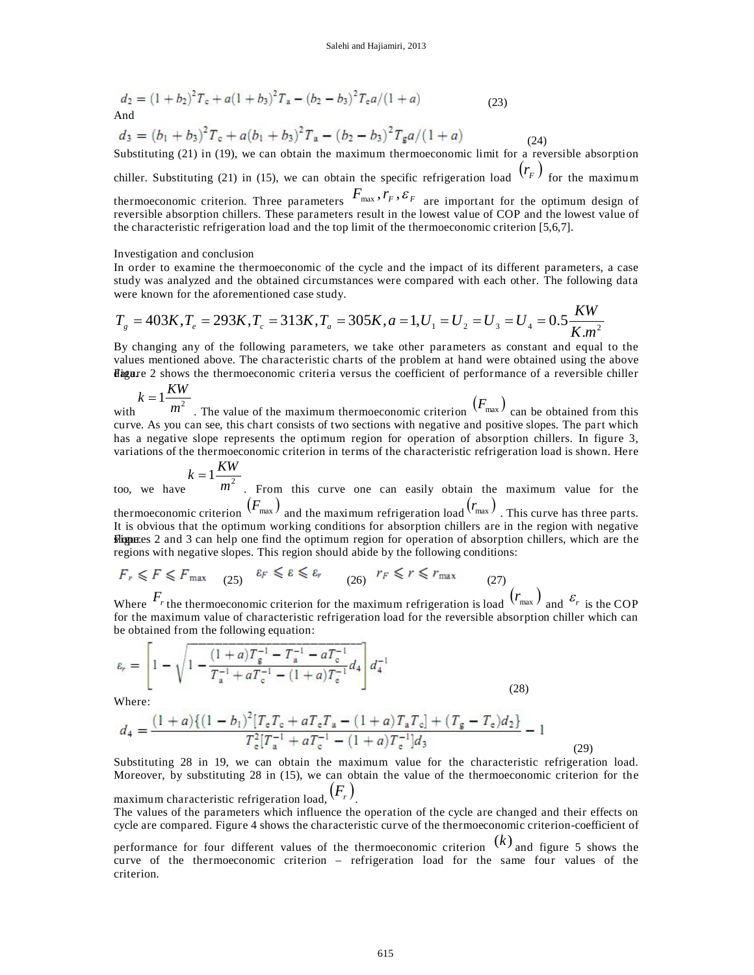$$
d_2 = (1 + b_2)^2 T_c + a(1 + b_3)^2 T_a - (b_2 - b_3)^2 T_c a / (1 + a)
$$
  
And (23)

$$
d_3 = (b_1 + b_3)^2 T_c + a(b_1 + b_3)^2 T_a - (b_2 - b_3)^2 T_g a / (1 + a)
$$
\nSubstituting (21) in (10), we see obtain the maximum the  
unoscopoint limit for a even.

Substituting (21) in (19), we can obtain the maximum thermoeconomic limit for a reversible absorption chiller. Substituting (21) in (15), we can obtain the specific refrigeration load  $(r_F)$  for the maximum thermoeconomic criterion. Three parameters  $F_{\text{max}}$ ,  $r_F$ ,  $\varepsilon_F$  are important for the optimum design of

reversible absorption chillers. These parameters result in the lowest value of COP and the lowest value of the characteristic refrigeration load and the top limit of the thermoeconomic criterion [5,6,7].

#### Investigation and conclusion

In order to examine the thermoeconomic of the cycle and the impact of its different parameters, a case study was analyzed and the obtained circumstances were compared with each other. The following data were known for the aforementioned case study.

$$
T_g = 403K, T_e = 293K, T_c = 313K, T_a = 305K, a = 1, U_1 = U_2 = U_3 = U_4 = 0.5 \frac{KW}{K.m^2}
$$

By changing any of the following parameters, we take other parameters as constant and equal to the values mentioned above. The characteristic charts of the problem at hand were obtained using the above **Higure** 2 shows the thermoeconomic criteria versus the coefficient of performance of a reversible chiller *KW <sup>k</sup>*

$$
k = 1 - \frac{14M}{m^2}
$$
 The value of the maximum thermoeconomic criterion  $(F_{\text{max}})$  can be obtained from this  
curve. As you can see, this chart consists of two sections with negative and positive slopes. The part which  
has a negative slope represents the optimum region for operation of absorption children. In figure 3,  
variations of the thermoeconomic criterion in terms of the characteristic refrigerator load is shown. Here

$$
k = 1 \frac{KW}{2}
$$

too, we have  $m<sup>2</sup>$  . From this curve one can easily obtain the maximum value for the thermoeconomic criterion  $(F_{\text{max}})$  and the maximum refrigeration load  $(r_{\text{max}})$  . This curve has three parts. It is obvious that the optimum working conditions for absorption chillers are in the region with negative slips and 3 can help one find the optimum region for operation of absorption chillers, which are the regions with negative slopes. This region should abide by the following conditions:

$$
F_r \leq F \leq F_{\text{max}} \quad (25) \quad \varepsilon_F \leq \varepsilon \leq \varepsilon_r \quad (26) \quad r_F \leq r \leq r_{\text{max}} \quad (27)
$$

Where  $F_r$  the thermoeconomic criterion for the maximum refrigeration is load  $(r_{\text{max}})$  and  $\varepsilon_r$  is the COP for the maximum value of characteristic refrigeration load for the reversible absorption chiller which can be obtained from the following equation:

$$
\varepsilon_r = \left[ 1 - \sqrt{1 - \frac{(1+a)T_g^{-1} - T_a^{-1} - aT_c^{-1}}{T_a^{-1} + aT_c^{-1} - (1+a)T_c^{-1}}} d_4 \right] d_4^{-1}
$$
\n(28)

Where:

$$
d_4 = \frac{(1+a)\{(1-b_1)^2[T_eT_e + aT_eT_a - (1+a)T_aT_e] + (T_g - T_e)d_2\}}{T_e^2[T_a^{-1} + aT_e^{-1} - (1+a)T_e^{-1}]d_3} - 1
$$
\n(29)

Substituting 28 in 19, we can obtain the maximum value for the characteristic refrigeration load. Moreover, by substituting 28 in (15), we can obtain the value of the thermoeconomic criterion for the maximum characteristic refrigeration load,  $(F_r)$ 

The values of the parameters which influence the operation of the cycle are changed and their effects on cycle are compared. Figure 4 shows the characteristic curve of the thermoeconomic criterion-coefficient of

performance for four different values of the thermoeconomic criterion (*k*) and figure 5 shows the curve of the thermoeconomic criterion – refrigeration load for the same four values of the criterion.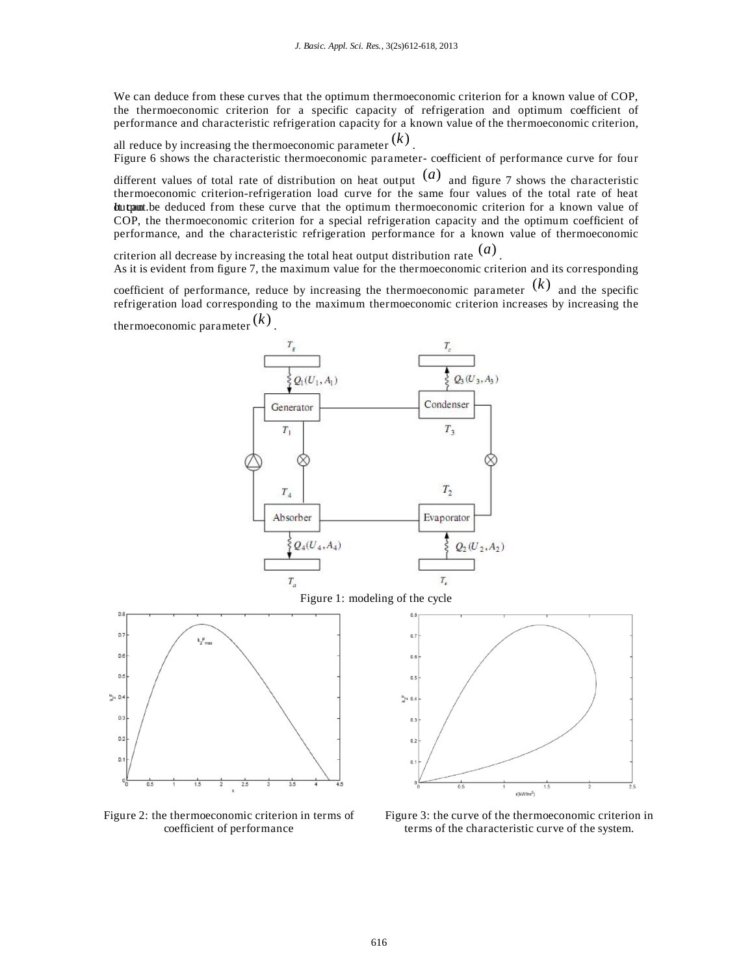We can deduce from these curves that the optimum thermoeconomic criterion for a known value of COP, the thermoeconomic criterion for a specific capacity of refrigeration and optimum coefficient of performance and characteristic refrigeration capacity for a known value of the thermoeconomic criterion,

all reduce by increasing the thermoeconomic parameter  $\left(k\right)$  . Figure 6 shows the characteristic thermoeconomic parameter- coefficient of performance curve for four

different values of total rate of distribution on heat output  $(a)$  and figure 7 shows the characteristic thermoeconomic criterion-refrigeration load curve for the same four values of the total rate of heat Integrant. be deduced from these curve that the optimum thermoeconomic criterion for a known value of COP, the thermoeconomic criterion for a special refrigeration capacity and the optimum coefficient of performance, and the characteristic refrigeration performance for a known value of thermoeconomic

criterion all decrease by increasing the total heat output distribution rate (*a*) .

As it is evident from figure 7, the maximum value for the thermoeconomic criterion and its corresponding

coefficient of performance, reduce by increasing the thermoeconomic parameter  $(k)$  and the specific refrigeration load corresponding to the maximum thermoeconomic criterion increases by increasing the thermoeconomic parameter (*k*) .



Figure 2: the thermoeconomic criterion in terms of coefficient of performance

Figure 3: the curve of the thermoeconomic criterion in terms of the characteristic curve of the system.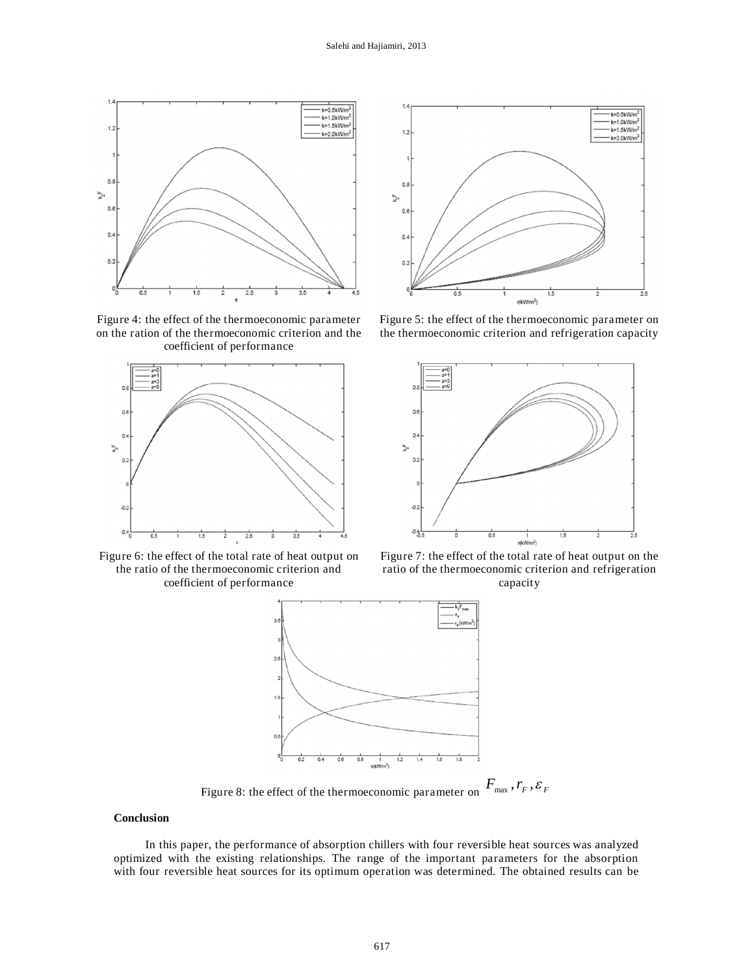

Figure 4: the effect of the thermoeconomic parameter on the ration of the thermoeconomic criterion and the coefficient of performance



Figure 6: the effect of the total rate of heat output on the ratio of the thermoeconomic criterion and coefficient of performance



Figure 5: the effect of the thermoeconomic parameter on the thermoeconomic criterion and refrigeration capacity



Figure 7: the effect of the total rate of heat output on the ratio of the thermoeconomic criterion and refrigeration capacity



#### **Conclusion**

In this paper, the performance of absorption chillers with four reversible heat sources was analyzed optimized with the existing relationships. The range of the important parameters for the absorption with four reversible heat sources for its optimum operation was determined. The obtained results can be